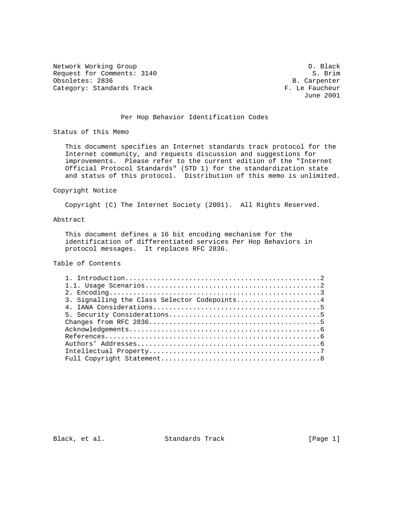Network Working Group Description of the U.S. and D. Black Request for Comments: 3140 S. Brim S. Brim S. Brim S. Brim S. Brim S. Brim S. Brim S. Brim S. Brim S. Brim S. B. Carpenter Obsoletes: 2836 B. Carpenter Category: Standards Track

June 2001

## Per Hop Behavior Identification Codes

Status of this Memo

 This document specifies an Internet standards track protocol for the Internet community, and requests discussion and suggestions for improvements. Please refer to the current edition of the "Internet Official Protocol Standards" (STD 1) for the standardization state and status of this protocol. Distribution of this memo is unlimited.

#### Copyright Notice

Copyright (C) The Internet Society (2001). All Rights Reserved.

## Abstract

 This document defines a 16 bit encoding mechanism for the identification of differentiated services Per Hop Behaviors in protocol messages. It replaces RFC 2836.

# Table of Contents

| 3. Signalling the Class Selector Codepoints4 |  |
|----------------------------------------------|--|
|                                              |  |
|                                              |  |
|                                              |  |
|                                              |  |
|                                              |  |
|                                              |  |
|                                              |  |
|                                              |  |

Black, et al. Standards Track [Page 1]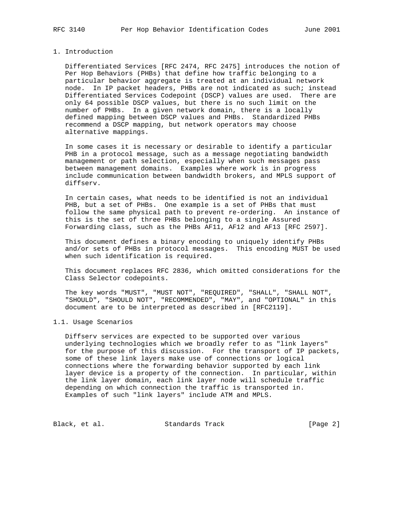### 1. Introduction

 Differentiated Services [RFC 2474, RFC 2475] introduces the notion of Per Hop Behaviors (PHBs) that define how traffic belonging to a particular behavior aggregate is treated at an individual network node. In IP packet headers, PHBs are not indicated as such; instead Differentiated Services Codepoint (DSCP) values are used. There are only 64 possible DSCP values, but there is no such limit on the number of PHBs. In a given network domain, there is a locally defined mapping between DSCP values and PHBs. Standardized PHBs recommend a DSCP mapping, but network operators may choose alternative mappings.

 In some cases it is necessary or desirable to identify a particular PHB in a protocol message, such as a message negotiating bandwidth management or path selection, especially when such messages pass between management domains. Examples where work is in progress include communication between bandwidth brokers, and MPLS support of diffserv.

 In certain cases, what needs to be identified is not an individual PHB, but a set of PHBs. One example is a set of PHBs that must follow the same physical path to prevent re-ordering. An instance of this is the set of three PHBs belonging to a single Assured Forwarding class, such as the PHBs AF11, AF12 and AF13 [RFC 2597].

 This document defines a binary encoding to uniquely identify PHBs and/or sets of PHBs in protocol messages. This encoding MUST be used when such identification is required.

 This document replaces RFC 2836, which omitted considerations for the Class Selector codepoints.

 The key words "MUST", "MUST NOT", "REQUIRED", "SHALL", "SHALL NOT", "SHOULD", "SHOULD NOT", "RECOMMENDED", "MAY", and "OPTIONAL" in this document are to be interpreted as described in [RFC2119].

#### 1.1. Usage Scenarios

 Diffserv services are expected to be supported over various underlying technologies which we broadly refer to as "link layers" for the purpose of this discussion. For the transport of IP packets, some of these link layers make use of connections or logical connections where the forwarding behavior supported by each link layer device is a property of the connection. In particular, within the link layer domain, each link layer node will schedule traffic depending on which connection the traffic is transported in. Examples of such "link layers" include ATM and MPLS.

Black, et al. Standards Track [Page 2]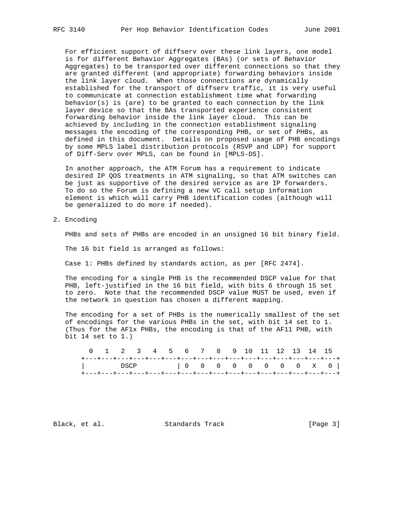For efficient support of diffserv over these link layers, one model is for different Behavior Aggregates (BAs) (or sets of Behavior Aggregates) to be transported over different connections so that they are granted different (and appropriate) forwarding behaviors inside the link layer cloud. When those connections are dynamically established for the transport of diffserv traffic, it is very useful to communicate at connection establishment time what forwarding behavior(s) is (are) to be granted to each connection by the link layer device so that the BAs transported experience consistent forwarding behavior inside the link layer cloud. This can be achieved by including in the connection establishment signaling messages the encoding of the corresponding PHB, or set of PHBs, as defined in this document. Details on proposed usage of PHB encodings by some MPLS label distribution protocols (RSVP and LDP) for support of Diff-Serv over MPLS, can be found in [MPLS-DS].

 In another approach, the ATM Forum has a requirement to indicate desired IP QOS treatments in ATM signaling, so that ATM switches can be just as supportive of the desired service as are IP forwarders. To do so the Forum is defining a new VC call setup information element is which will carry PHB identification codes (although will be generalized to do more if needed).

2. Encoding

PHBs and sets of PHBs are encoded in an unsigned 16 bit binary field.

The 16 bit field is arranged as follows:

Case 1: PHBs defined by standards action, as per [RFC 2474].

 The encoding for a single PHB is the recommended DSCP value for that PHB, left-justified in the 16 bit field, with bits 6 through 15 set to zero. Note that the recommended DSCP value MUST be used, even if the network in question has chosen a different mapping.

 The encoding for a set of PHBs is the numerically smallest of the set of encodings for the various PHBs in the set, with bit 14 set to 1. (Thus for the AF1x PHBs, the encoding is that of the AF11 PHB, with bit 14 set to 1.)

|  |  | 0 1 2 3 4 5 6 7 8 9 10 11 12 13 14 15 |  |  |  |  |  |                                                                      |  |
|--|--|---------------------------------------|--|--|--|--|--|----------------------------------------------------------------------|--|
|  |  |                                       |  |  |  |  |  | +---+---+---+---+---+---+---+---+---+---+---+---+---+---+---+---+--- |  |
|  |  |                                       |  |  |  |  |  | DSCP   0 0 0 0 0 0 0 0 x 0                                           |  |
|  |  |                                       |  |  |  |  |  | +---+---+---+---+---+---+---+---+---+---+---+---+---+---+---+---+--- |  |

Black, et al. Standards Track [Page 3]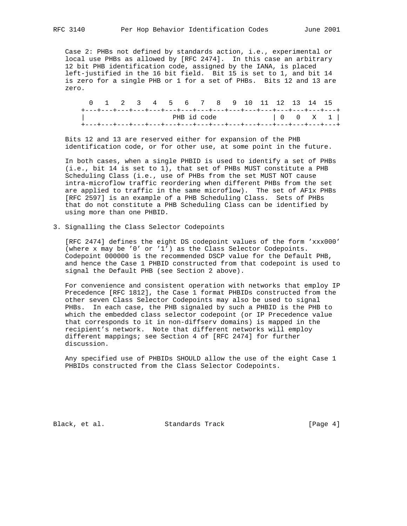Case 2: PHBs not defined by standards action, i.e., experimental or local use PHBs as allowed by [RFC 2474]. In this case an arbitrary 12 bit PHB identification code, assigned by the IANA, is placed left-justified in the 16 bit field. Bit 15 is set to 1, and bit 14 is zero for a single PHB or 1 for a set of PHBs. Bits 12 and 13 are zero.

|                                                                       |  |  |  |  |  | 0 1 2 3 4 5 6 7 8 9 10 11 12 13 14 15 |  |                       |  |
|-----------------------------------------------------------------------|--|--|--|--|--|---------------------------------------|--|-----------------------|--|
| +---+---+---+---+---+---+---+---+---+---+---+---+---+---+---+---+---+ |  |  |  |  |  |                                       |  |                       |  |
|                                                                       |  |  |  |  |  |                                       |  | PHB id code   0 0 X 1 |  |
| +---+---+---+---+---+---+---+---+---+---+---+---+---+---+---+---+---+ |  |  |  |  |  |                                       |  |                       |  |

 Bits 12 and 13 are reserved either for expansion of the PHB identification code, or for other use, at some point in the future.

 In both cases, when a single PHBID is used to identify a set of PHBs (i.e., bit 14 is set to 1), that set of PHBs MUST constitute a PHB Scheduling Class (i.e., use of PHBs from the set MUST NOT cause intra-microflow traffic reordering when different PHBs from the set are applied to traffic in the same microflow). The set of AF1x PHBs [RFC 2597] is an example of a PHB Scheduling Class. Sets of PHBs that do not constitute a PHB Scheduling Class can be identified by using more than one PHBID.

3. Signalling the Class Selector Codepoints

 [RFC 2474] defines the eight DS codepoint values of the form 'xxx000' (where x may be '0' or '1') as the Class Selector Codepoints. Codepoint 000000 is the recommended DSCP value for the Default PHB, and hence the Case 1 PHBID constructed from that codepoint is used to signal the Default PHB (see Section 2 above).

 For convenience and consistent operation with networks that employ IP Precedence [RFC 1812], the Case 1 format PHBIDs constructed from the other seven Class Selector Codepoints may also be used to signal PHBs. In each case, the PHB signaled by such a PHBID is the PHB to which the embedded class selector codepoint (or IP Precedence value that corresponds to it in non-diffserv domains) is mapped in the recipient's network. Note that different networks will employ different mappings; see Section 4 of [RFC 2474] for further discussion.

 Any specified use of PHBIDs SHOULD allow the use of the eight Case 1 PHBIDs constructed from the Class Selector Codepoints.

Black, et al. Standards Track [Page 4]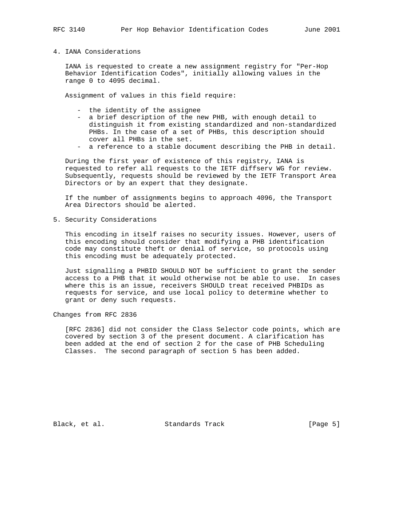# 4. IANA Considerations

 IANA is requested to create a new assignment registry for "Per-Hop Behavior Identification Codes", initially allowing values in the range 0 to 4095 decimal.

Assignment of values in this field require:

- the identity of the assignee
- a brief description of the new PHB, with enough detail to distinguish it from existing standardized and non-standardized PHBs. In the case of a set of PHBs, this description should cover all PHBs in the set.
- a reference to a stable document describing the PHB in detail.

 During the first year of existence of this registry, IANA is requested to refer all requests to the IETF diffserv WG for review. Subsequently, requests should be reviewed by the IETF Transport Area Directors or by an expert that they designate.

 If the number of assignments begins to approach 4096, the Transport Area Directors should be alerted.

5. Security Considerations

 This encoding in itself raises no security issues. However, users of this encoding should consider that modifying a PHB identification code may constitute theft or denial of service, so protocols using this encoding must be adequately protected.

 Just signalling a PHBID SHOULD NOT be sufficient to grant the sender access to a PHB that it would otherwise not be able to use. In cases where this is an issue, receivers SHOULD treat received PHBIDs as requests for service, and use local policy to determine whether to grant or deny such requests.

Changes from RFC 2836

 [RFC 2836] did not consider the Class Selector code points, which are covered by section 3 of the present document. A clarification has been added at the end of section 2 for the case of PHB Scheduling Classes. The second paragraph of section 5 has been added.

Black, et al. Standards Track [Page 5]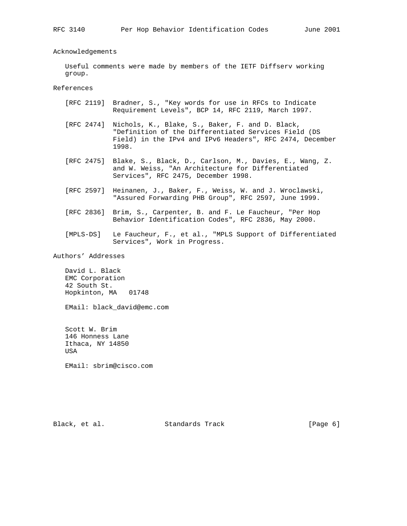Acknowledgements

 Useful comments were made by members of the IETF Diffserv working group.

References

- [RFC 2119] Bradner, S., "Key words for use in RFCs to Indicate Requirement Levels", BCP 14, RFC 2119, March 1997.
- [RFC 2474] Nichols, K., Blake, S., Baker, F. and D. Black, "Definition of the Differentiated Services Field (DS Field) in the IPv4 and IPv6 Headers", RFC 2474, December 1998.
- [RFC 2475] Blake, S., Black, D., Carlson, M., Davies, E., Wang, Z. and W. Weiss, "An Architecture for Differentiated Services", RFC 2475, December 1998.
- [RFC 2597] Heinanen, J., Baker, F., Weiss, W. and J. Wroclawski, "Assured Forwarding PHB Group", RFC 2597, June 1999.
- [RFC 2836] Brim, S., Carpenter, B. and F. Le Faucheur, "Per Hop Behavior Identification Codes", RFC 2836, May 2000.
- [MPLS-DS] Le Faucheur, F., et al., "MPLS Support of Differentiated Services", Work in Progress.

Authors' Addresses

 David L. Black EMC Corporation 42 South St. Hopkinton, MA 01748

EMail: black\_david@emc.com

 Scott W. Brim 146 Honness Lane Ithaca, NY 14850 USA

EMail: sbrim@cisco.com

Black, et al. Standards Track [Page 6]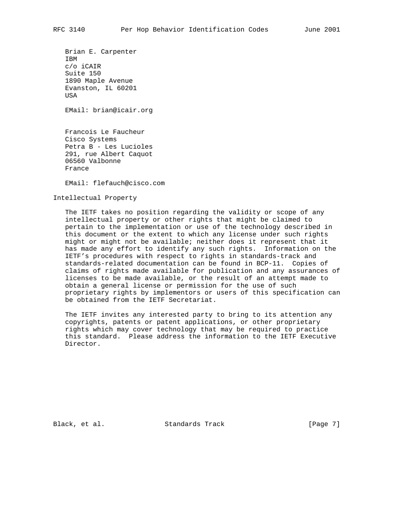Brian E. Carpenter IBM c/o iCAIR Suite 150 1890 Maple Avenue Evanston, IL 60201 **USA** 

EMail: brian@icair.org

 Francois Le Faucheur Cisco Systems Petra B - Les Lucioles 291, rue Albert Caquot 06560 Valbonne France

EMail: flefauch@cisco.com

Intellectual Property

 The IETF takes no position regarding the validity or scope of any intellectual property or other rights that might be claimed to pertain to the implementation or use of the technology described in this document or the extent to which any license under such rights might or might not be available; neither does it represent that it has made any effort to identify any such rights. Information on the IETF's procedures with respect to rights in standards-track and standards-related documentation can be found in BCP-11. Copies of claims of rights made available for publication and any assurances of licenses to be made available, or the result of an attempt made to obtain a general license or permission for the use of such proprietary rights by implementors or users of this specification can be obtained from the IETF Secretariat.

 The IETF invites any interested party to bring to its attention any copyrights, patents or patent applications, or other proprietary rights which may cover technology that may be required to practice this standard. Please address the information to the IETF Executive Director.

Black, et al. Standards Track [Page 7]